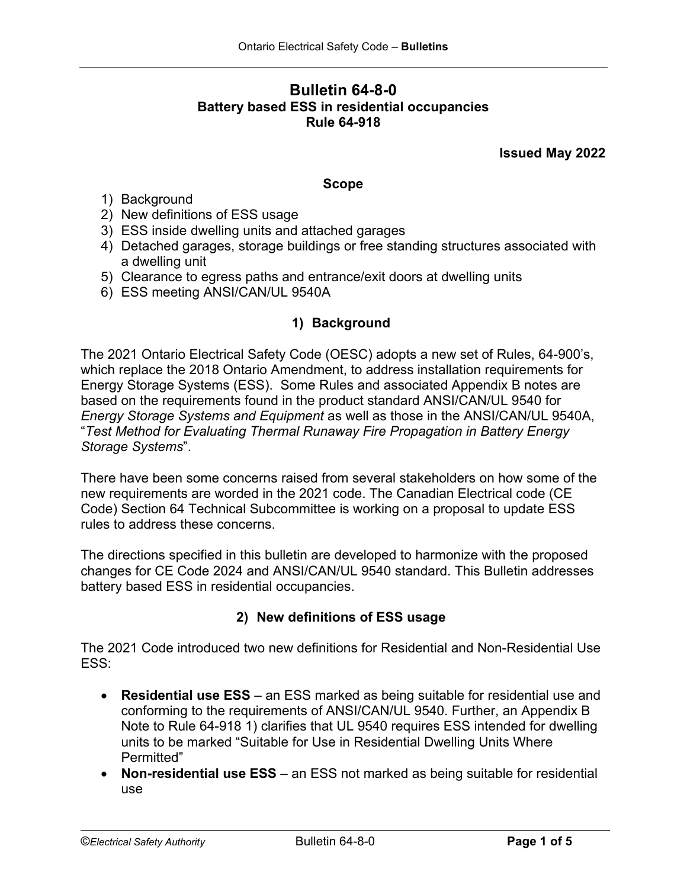# **Bulletin 64-8-0 Battery based ESS in residential occupancies Rule 64-918**

**Issued May 2022**

#### **Scope**

- 1) Background
- 2) New definitions of ESS usage
- 3) ESS inside dwelling units and attached garages
- 4) Detached garages, storage buildings or free standing structures associated with a dwelling unit
- 5) Clearance to egress paths and entrance/exit doors at dwelling units
- 6) ESS meeting ANSI/CAN/UL 9540A

## **1) Background**

The 2021 Ontario Electrical Safety Code (OESC) adopts a new set of Rules, 64-900's, which replace the 2018 Ontario Amendment, to address installation requirements for Energy Storage Systems (ESS). Some Rules and associated Appendix B notes are based on the requirements found in the product standard ANSI/CAN/UL 9540 for *Energy Storage Systems and Equipment* as well as those in the ANSI/CAN/UL 9540A, "*Test Method for Evaluating Thermal Runaway Fire Propagation in Battery Energy Storage Systems*".

There have been some concerns raised from several stakeholders on how some of the new requirements are worded in the 2021 code. The Canadian Electrical code (CE Code) Section 64 Technical Subcommittee is working on a proposal to update ESS rules to address these concerns.

The directions specified in this bulletin are developed to harmonize with the proposed changes for CE Code 2024 and ANSI/CAN/UL 9540 standard. This Bulletin addresses battery based ESS in residential occupancies.

# **2) New definitions of ESS usage**

The 2021 Code introduced two new definitions for Residential and Non-Residential Use ESS:

- **Residential use ESS** an ESS marked as being suitable for residential use and conforming to the requirements of ANSI/CAN/UL 9540. Further, an Appendix B Note to Rule 64-918 1) clarifies that UL 9540 requires ESS intended for dwelling units to be marked "Suitable for Use in Residential Dwelling Units Where Permitted"
- **Non-residential use ESS** an ESS not marked as being suitable for residential use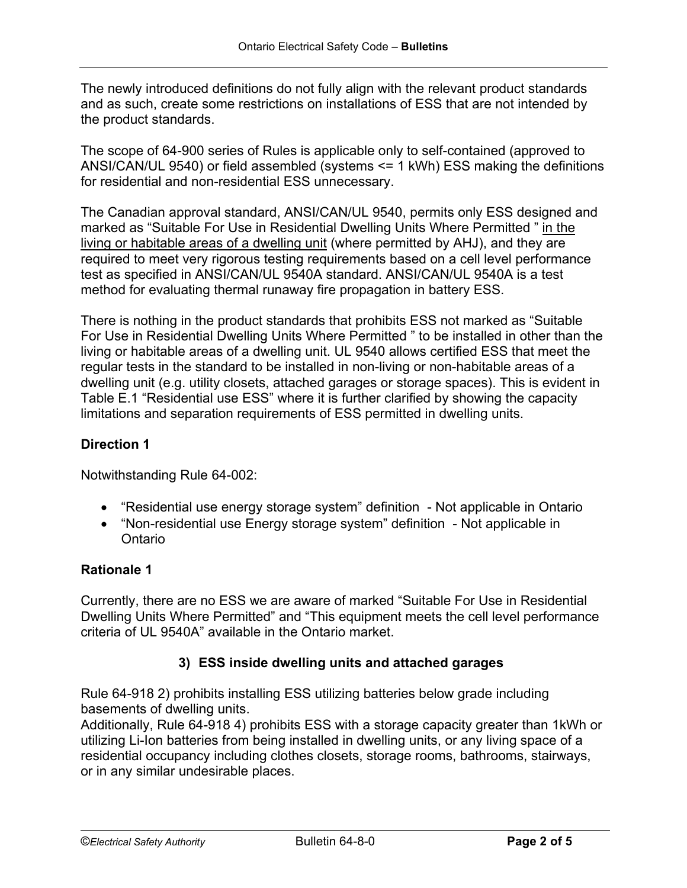The newly introduced definitions do not fully align with the relevant product standards and as such, create some restrictions on installations of ESS that are not intended by the product standards.

The scope of 64-900 series of Rules is applicable only to self-contained (approved to ANSI/CAN/UL 9540) or field assembled (systems <= 1 kWh) ESS making the definitions for residential and non-residential ESS unnecessary.

The Canadian approval standard, ANSI/CAN/UL 9540, permits only ESS designed and marked as "Suitable For Use in Residential Dwelling Units Where Permitted " in the living or habitable areas of a dwelling unit (where permitted by AHJ), and they are required to meet very rigorous testing requirements based on a cell level performance test as specified in ANSI/CAN/UL 9540A standard. ANSI/CAN/UL 9540A is a test method for evaluating thermal runaway fire propagation in battery ESS.

There is nothing in the product standards that prohibits ESS not marked as "Suitable For Use in Residential Dwelling Units Where Permitted " to be installed in other than the living or habitable areas of a dwelling unit. UL 9540 allows certified ESS that meet the regular tests in the standard to be installed in non-living or non-habitable areas of a dwelling unit (e.g. utility closets, attached garages or storage spaces). This is evident in Table E.1 "Residential use ESS" where it is further clarified by showing the capacity limitations and separation requirements of ESS permitted in dwelling units.

# **Direction 1**

Notwithstanding Rule 64-002:

- "Residential use energy storage system" definition Not applicable in Ontario
- "Non-residential use Energy storage system" definition Not applicable in Ontario

### **Rationale 1**

Currently, there are no ESS we are aware of marked "Suitable For Use in Residential Dwelling Units Where Permitted" and "This equipment meets the cell level performance criteria of UL 9540A" available in the Ontario market.

### **3) ESS inside dwelling units and attached garages**

Rule 64-918 2) prohibits installing ESS utilizing batteries below grade including basements of dwelling units.

Additionally, Rule 64-918 4) prohibits ESS with a storage capacity greater than 1kWh or utilizing Li-Ion batteries from being installed in dwelling units, or any living space of a residential occupancy including clothes closets, storage rooms, bathrooms, stairways, or in any similar undesirable places.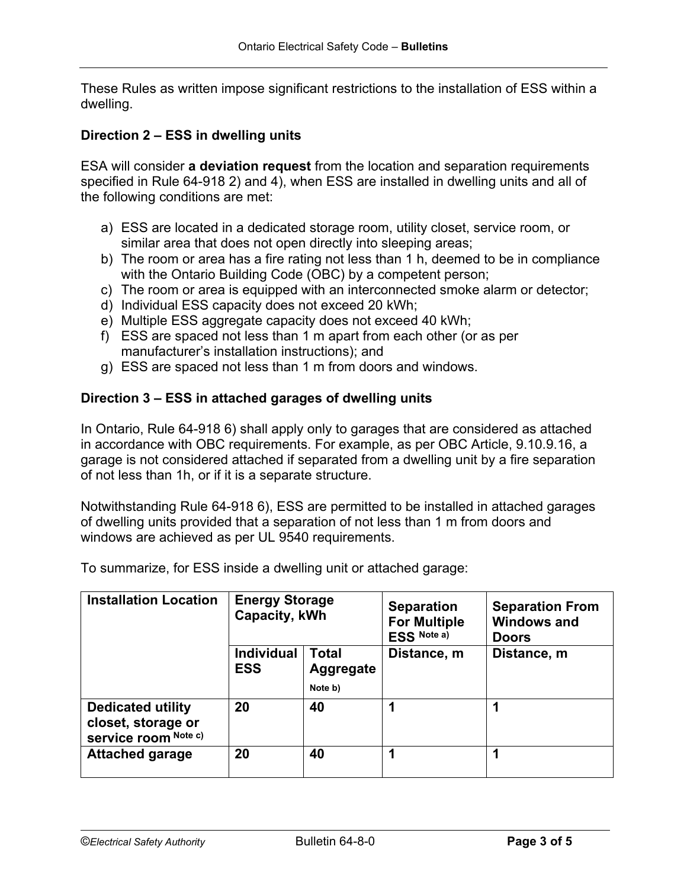These Rules as written impose significant restrictions to the installation of ESS within a dwelling.

### **Direction 2 – ESS in dwelling units**

ESA will consider **a deviation request** from the location and separation requirements specified in Rule 64-918 2) and 4), when ESS are installed in dwelling units and all of the following conditions are met:

- a) ESS are located in a dedicated storage room, utility closet, service room, or similar area that does not open directly into sleeping areas;
- b) The room or area has a fire rating not less than 1 h, deemed to be in compliance with the Ontario Building Code (OBC) by a competent person;
- c) The room or area is equipped with an interconnected smoke alarm or detector;
- d) Individual ESS capacity does not exceed 20 kWh;
- e) Multiple ESS aggregate capacity does not exceed 40 kWh;
- f) ESS are spaced not less than 1 m apart from each other (or as per manufacturer's installation instructions); and
- g) ESS are spaced not less than 1 m from doors and windows.

### **Direction 3 – ESS in attached garages of dwelling units**

In Ontario, Rule 64-918 6) shall apply only to garages that are considered as attached in accordance with OBC requirements. For example, as per OBC Article, 9.10.9.16, a garage is not considered attached if separated from a dwelling unit by a fire separation of not less than 1h, or if it is a separate structure.

Notwithstanding Rule 64-918 6), ESS are permitted to be installed in attached garages of dwelling units provided that a separation of not less than 1 m from doors and windows are achieved as per UL 9540 requirements.

| <b>Installation Location</b>                                           | <b>Energy Storage</b><br>Capacity, kWh |                                             | <b>Separation</b><br><b>For Multiple</b><br>ESS Note a) | <b>Separation From</b><br><b>Windows and</b><br><b>Doors</b> |
|------------------------------------------------------------------------|----------------------------------------|---------------------------------------------|---------------------------------------------------------|--------------------------------------------------------------|
|                                                                        | <b>Individual</b><br><b>ESS</b>        | <b>Total</b><br><b>Aggregate</b><br>Note b) | Distance, m                                             | Distance, m                                                  |
| <b>Dedicated utility</b><br>closet, storage or<br>service room Note c) | 20                                     | 40                                          | и                                                       |                                                              |
| <b>Attached garage</b>                                                 | 20                                     | 40                                          |                                                         |                                                              |

To summarize, for ESS inside a dwelling unit or attached garage: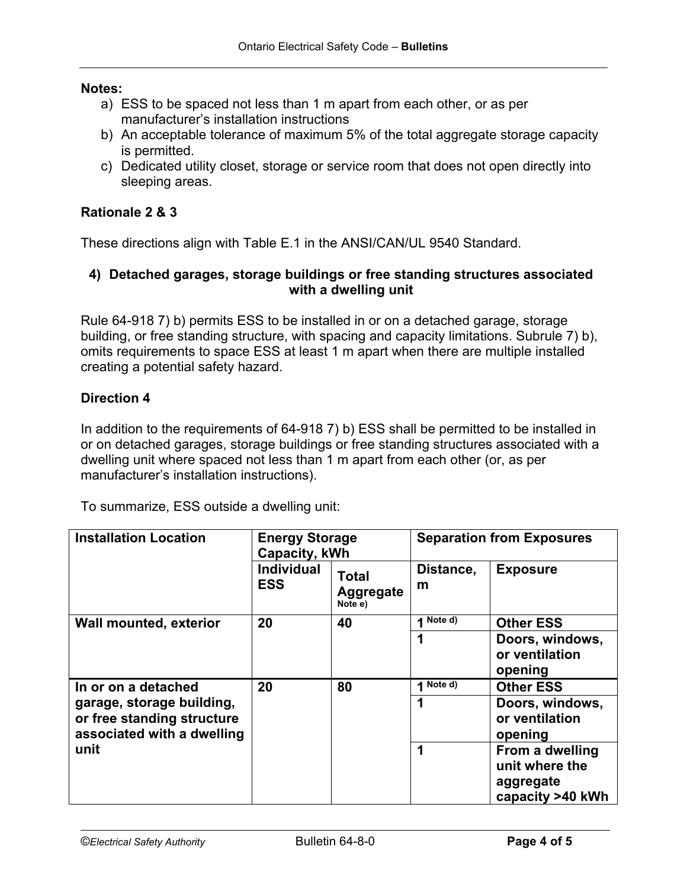#### **Notes:**

- a) ESS to be spaced not less than 1 m apart from each other, or as per manufacturer's installation instructions
- b) An acceptable tolerance of maximum 5% of the total aggregate storage capacity is permitted.
- c) Dedicated utility closet, storage or service room that does not open directly into sleeping areas.

### **Rationale 2 & 3**

These directions align with Table E.1 in the ANSI/CAN/UL 9540 Standard.

### **4) Detached garages, storage buildings or free standing structures associated with a dwelling unit**

Rule 64-918 7) b) permits ESS to be installed in or on a detached garage, storage building, or free standing structure, with spacing and capacity limitations. Subrule 7) b), omits requirements to space ESS at least 1 m apart when there are multiple installed creating a potential safety hazard.

#### **Direction 4**

In addition to the requirements of 64-918 7) b) ESS shall be permitted to be installed in or on detached garages, storage buildings or free standing structures associated with a dwelling unit where spaced not less than 1 m apart from each other (or, as per manufacturer's installation instructions).

To summarize, ESS outside a dwelling unit:

| <b>Installation Location</b>                                                          | <b>Energy Storage</b><br>Capacity, kWh |                                      | <b>Separation from Exposures</b> |                                                                    |
|---------------------------------------------------------------------------------------|----------------------------------------|--------------------------------------|----------------------------------|--------------------------------------------------------------------|
|                                                                                       | <b>Individual</b><br><b>ESS</b>        | <b>Total</b><br>Aggregate<br>Note e) | Distance,<br>m                   | <b>Exposure</b>                                                    |
| <b>Wall mounted, exterior</b>                                                         | 20                                     | 40                                   | Note d)                          | <b>Other ESS</b>                                                   |
|                                                                                       |                                        |                                      | 1                                | Doors, windows,<br>or ventilation<br>opening                       |
| In or on a detached                                                                   | 20                                     | 80                                   | 1 Note d)                        | <b>Other ESS</b>                                                   |
| garage, storage building,<br>or free standing structure<br>associated with a dwelling |                                        |                                      | 1                                | Doors, windows,<br>or ventilation<br>opening                       |
| unit                                                                                  |                                        |                                      | 1                                | From a dwelling<br>unit where the<br>aggregate<br>capacity >40 kWh |